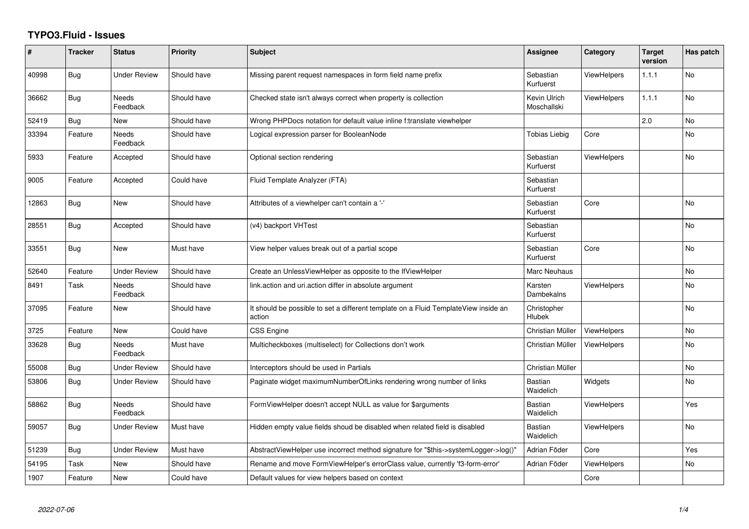## **TYPO3.Fluid - Issues**

| #     | <b>Tracker</b> | <b>Status</b>            | <b>Priority</b> | Subject                                                                                       | Assignee                    | Category           | <b>Target</b><br>version | Has patch |
|-------|----------------|--------------------------|-----------------|-----------------------------------------------------------------------------------------------|-----------------------------|--------------------|--------------------------|-----------|
| 40998 | <b>Bug</b>     | <b>Under Review</b>      | Should have     | Missing parent request namespaces in form field name prefix                                   | Sebastian<br>Kurfuerst      | ViewHelpers        | 1.1.1                    | No        |
| 36662 | Bug            | Needs<br>Feedback        | Should have     | Checked state isn't always correct when property is collection                                | Kevin Ulrich<br>Moschallski | ViewHelpers        | 1.1.1                    | No        |
| 52419 | Bug            | New                      | Should have     | Wrong PHPDocs notation for default value inline f:translate viewhelper                        |                             |                    | 2.0                      | No        |
| 33394 | Feature        | Needs<br>Feedback        | Should have     | Logical expression parser for BooleanNode                                                     | <b>Tobias Liebig</b>        | Core               |                          | No        |
| 5933  | Feature        | Accepted                 | Should have     | Optional section rendering                                                                    | Sebastian<br>Kurfuerst      | ViewHelpers        |                          | No        |
| 9005  | Feature        | Accepted                 | Could have      | Fluid Template Analyzer (FTA)                                                                 | Sebastian<br>Kurfuerst      |                    |                          |           |
| 12863 | <b>Bug</b>     | New                      | Should have     | Attributes of a viewhelper can't contain a '-'                                                | Sebastian<br>Kurfuerst      | Core               |                          | No        |
| 28551 | <b>Bug</b>     | Accepted                 | Should have     | (v4) backport VHTest                                                                          | Sebastian<br>Kurfuerst      |                    |                          | No        |
| 33551 | <b>Bug</b>     | New                      | Must have       | View helper values break out of a partial scope                                               | Sebastian<br>Kurfuerst      | Core               |                          | No        |
| 52640 | Feature        | <b>Under Review</b>      | Should have     | Create an UnlessViewHelper as opposite to the IfViewHelper                                    | Marc Neuhaus                |                    |                          | No        |
| 8491  | Task           | <b>Needs</b><br>Feedback | Should have     | link action and uri action differ in absolute argument                                        | Karsten<br>Dambekalns       | ViewHelpers        |                          | <b>No</b> |
| 37095 | Feature        | New                      | Should have     | It should be possible to set a different template on a Fluid TemplateView inside an<br>action | Christopher<br>Hlubek       |                    |                          | No        |
| 3725  | Feature        | New                      | Could have      | <b>CSS Engine</b>                                                                             | Christian Müller            | ViewHelpers        |                          | No        |
| 33628 | Bug            | Needs<br>Feedback        | Must have       | Multicheckboxes (multiselect) for Collections don't work                                      | Christian Müller            | <b>ViewHelpers</b> |                          | No        |
| 55008 | <b>Bug</b>     | <b>Under Review</b>      | Should have     | Interceptors should be used in Partials                                                       | Christian Müller            |                    |                          | No.       |
| 53806 | Bug            | Under Review             | Should have     | Paginate widget maximumNumberOfLinks rendering wrong number of links                          | Bastian<br>Waidelich        | Widgets            |                          | No        |
| 58862 | Bug            | Needs<br>Feedback        | Should have     | FormViewHelper doesn't accept NULL as value for \$arguments                                   | Bastian<br>Waidelich        | ViewHelpers        |                          | Yes       |
| 59057 | Bug            | <b>Under Review</b>      | Must have       | Hidden empty value fields shoud be disabled when related field is disabled                    | Bastian<br>Waidelich        | ViewHelpers        |                          | No.       |
| 51239 | <b>Bug</b>     | Under Review             | Must have       | AbstractViewHelper use incorrect method signature for "\$this->systemLogger->log()"           | Adrian Föder                | Core               |                          | Yes       |
| 54195 | Task           | New                      | Should have     | Rename and move FormViewHelper's errorClass value, currently 'f3-form-error'                  | Adrian Föder                | <b>ViewHelpers</b> |                          | No        |
| 1907  | Feature        | <b>New</b>               | Could have      | Default values for view helpers based on context                                              |                             | Core               |                          |           |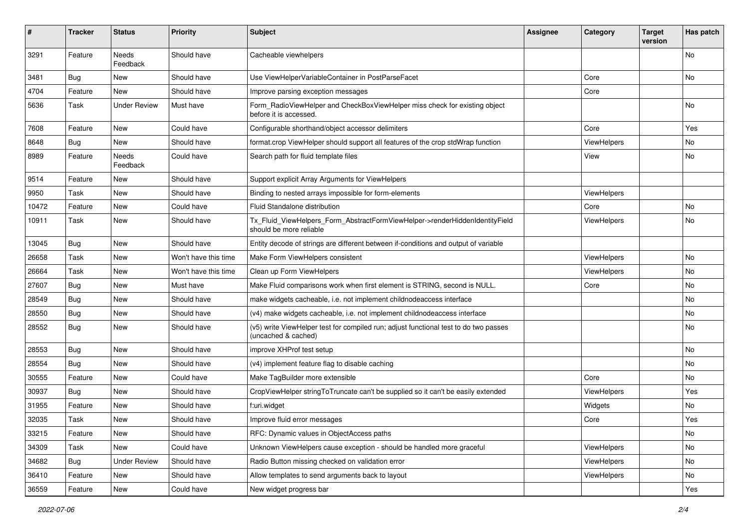| $\sharp$ | <b>Tracker</b> | <b>Status</b>            | <b>Priority</b>      | <b>Subject</b>                                                                                              | <b>Assignee</b> | Category    | <b>Target</b><br>version | Has patch |
|----------|----------------|--------------------------|----------------------|-------------------------------------------------------------------------------------------------------------|-----------------|-------------|--------------------------|-----------|
| 3291     | Feature        | <b>Needs</b><br>Feedback | Should have          | Cacheable viewhelpers                                                                                       |                 |             |                          | <b>No</b> |
| 3481     | <b>Bug</b>     | New                      | Should have          | Use ViewHelperVariableContainer in PostParseFacet                                                           |                 | Core        |                          | No        |
| 4704     | Feature        | New                      | Should have          | Improve parsing exception messages                                                                          |                 | Core        |                          |           |
| 5636     | Task           | <b>Under Review</b>      | Must have            | Form_RadioViewHelper and CheckBoxViewHelper miss check for existing object<br>before it is accessed.        |                 |             |                          | No        |
| 7608     | Feature        | New                      | Could have           | Configurable shorthand/object accessor delimiters                                                           |                 | Core        |                          | Yes       |
| 8648     | Bug            | New                      | Should have          | format.crop ViewHelper should support all features of the crop stdWrap function                             |                 | ViewHelpers |                          | No        |
| 8989     | Feature        | Needs<br>Feedback        | Could have           | Search path for fluid template files                                                                        |                 | View        |                          | No        |
| 9514     | Feature        | New                      | Should have          | Support explicit Array Arguments for ViewHelpers                                                            |                 |             |                          |           |
| 9950     | Task           | New                      | Should have          | Binding to nested arrays impossible for form-elements                                                       |                 | ViewHelpers |                          |           |
| 10472    | Feature        | New                      | Could have           | Fluid Standalone distribution                                                                               |                 | Core        |                          | No        |
| 10911    | Task           | New                      | Should have          | Tx_Fluid_ViewHelpers_Form_AbstractFormViewHelper->renderHiddenIdentityField<br>should be more reliable      |                 | ViewHelpers |                          | No        |
| 13045    | Bug            | New                      | Should have          | Entity decode of strings are different between if-conditions and output of variable                         |                 |             |                          |           |
| 26658    | Task           | New                      | Won't have this time | Make Form ViewHelpers consistent                                                                            |                 | ViewHelpers |                          | No        |
| 26664    | Task           | New                      | Won't have this time | Clean up Form ViewHelpers                                                                                   |                 | ViewHelpers |                          | No        |
| 27607    | Bug            | New                      | Must have            | Make Fluid comparisons work when first element is STRING, second is NULL.                                   |                 | Core        |                          | No        |
| 28549    | Bug            | New                      | Should have          | make widgets cacheable, i.e. not implement childnodeaccess interface                                        |                 |             |                          | No        |
| 28550    | Bug            | New                      | Should have          | (v4) make widgets cacheable, i.e. not implement childnodeaccess interface                                   |                 |             |                          | No        |
| 28552    | Bug            | New                      | Should have          | (v5) write ViewHelper test for compiled run; adjust functional test to do two passes<br>(uncached & cached) |                 |             |                          | No        |
| 28553    | Bug            | New                      | Should have          | improve XHProf test setup                                                                                   |                 |             |                          | No        |
| 28554    | Bug            | New                      | Should have          | (v4) implement feature flag to disable caching                                                              |                 |             |                          | No        |
| 30555    | Feature        | New                      | Could have           | Make TagBuilder more extensible                                                                             |                 | Core        |                          | No        |
| 30937    | Bug            | New                      | Should have          | CropViewHelper stringToTruncate can't be supplied so it can't be easily extended                            |                 | ViewHelpers |                          | Yes       |
| 31955    | Feature        | New                      | Should have          | f:uri.widget                                                                                                |                 | Widgets     |                          | No        |
| 32035    | Task           | New                      | Should have          | Improve fluid error messages                                                                                |                 | Core        |                          | Yes       |
| 33215    | Feature        | New                      | Should have          | RFC: Dynamic values in ObjectAccess paths                                                                   |                 |             |                          | No        |
| 34309    | Task           | New                      | Could have           | Unknown ViewHelpers cause exception - should be handled more graceful                                       |                 | ViewHelpers |                          | No        |
| 34682    | <b>Bug</b>     | <b>Under Review</b>      | Should have          | Radio Button missing checked on validation error                                                            |                 | ViewHelpers |                          | No        |
| 36410    | Feature        | New                      | Should have          | Allow templates to send arguments back to layout                                                            |                 | ViewHelpers |                          | No        |
| 36559    | Feature        | New                      | Could have           | New widget progress bar                                                                                     |                 |             |                          | Yes       |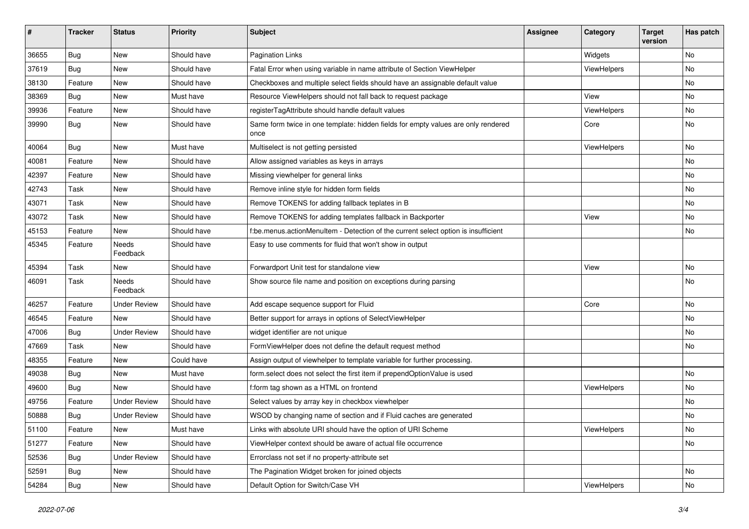| #     | <b>Tracker</b> | <b>Status</b>       | <b>Priority</b> | <b>Subject</b>                                                                            | <b>Assignee</b> | Category    | <b>Target</b><br>version | Has patch |
|-------|----------------|---------------------|-----------------|-------------------------------------------------------------------------------------------|-----------------|-------------|--------------------------|-----------|
| 36655 | Bug            | <b>New</b>          | Should have     | <b>Pagination Links</b>                                                                   |                 | Widgets     |                          | <b>No</b> |
| 37619 | Bug            | New                 | Should have     | Fatal Error when using variable in name attribute of Section ViewHelper                   |                 | ViewHelpers |                          | No        |
| 38130 | Feature        | New                 | Should have     | Checkboxes and multiple select fields should have an assignable default value             |                 |             |                          | No        |
| 38369 | Bug            | <b>New</b>          | Must have       | Resource ViewHelpers should not fall back to request package                              |                 | View        |                          | No        |
| 39936 | Feature        | New                 | Should have     | registerTagAttribute should handle default values                                         |                 | ViewHelpers |                          | No        |
| 39990 | Bug            | New                 | Should have     | Same form twice in one template: hidden fields for empty values are only rendered<br>once |                 | Core        |                          | <b>No</b> |
| 40064 | Bug            | <b>New</b>          | Must have       | Multiselect is not getting persisted                                                      |                 | ViewHelpers |                          | <b>No</b> |
| 40081 | Feature        | New                 | Should have     | Allow assigned variables as keys in arrays                                                |                 |             |                          | No        |
| 42397 | Feature        | New                 | Should have     | Missing viewhelper for general links                                                      |                 |             |                          | No        |
| 42743 | Task           | New                 | Should have     | Remove inline style for hidden form fields                                                |                 |             |                          | No        |
| 43071 | Task           | New                 | Should have     | Remove TOKENS for adding fallback teplates in B                                           |                 |             |                          | No        |
| 43072 | Task           | New                 | Should have     | Remove TOKENS for adding templates fallback in Backporter                                 |                 | View        |                          | No        |
| 45153 | Feature        | New                 | Should have     | f:be.menus.actionMenuItem - Detection of the current select option is insufficient        |                 |             |                          | No        |
| 45345 | Feature        | Needs<br>Feedback   | Should have     | Easy to use comments for fluid that won't show in output                                  |                 |             |                          |           |
| 45394 | Task           | New                 | Should have     | Forwardport Unit test for standalone view                                                 |                 | View        |                          | No        |
| 46091 | Task           | Needs<br>Feedback   | Should have     | Show source file name and position on exceptions during parsing                           |                 |             |                          | No        |
| 46257 | Feature        | <b>Under Review</b> | Should have     | Add escape sequence support for Fluid                                                     |                 | Core        |                          | <b>No</b> |
| 46545 | Feature        | New                 | Should have     | Better support for arrays in options of SelectViewHelper                                  |                 |             |                          | No        |
| 47006 | Bug            | <b>Under Review</b> | Should have     | widget identifier are not unique                                                          |                 |             |                          | <b>No</b> |
| 47669 | Task           | New                 | Should have     | FormViewHelper does not define the default request method                                 |                 |             |                          | No        |
| 48355 | Feature        | New                 | Could have      | Assign output of viewhelper to template variable for further processing.                  |                 |             |                          |           |
| 49038 | Bug            | <b>New</b>          | Must have       | form.select does not select the first item if prependOptionValue is used                  |                 |             |                          | <b>No</b> |
| 49600 | Bug            | New                 | Should have     | f:form tag shown as a HTML on frontend                                                    |                 | ViewHelpers |                          | No        |
| 49756 | Feature        | <b>Under Review</b> | Should have     | Select values by array key in checkbox viewhelper                                         |                 |             |                          | <b>No</b> |
| 50888 | Bug            | Under Review        | Should have     | WSOD by changing name of section and if Fluid caches are generated                        |                 |             |                          | No        |
| 51100 | Feature        | New                 | Must have       | Links with absolute URI should have the option of URI Scheme                              |                 | ViewHelpers |                          | No        |
| 51277 | Feature        | New                 | Should have     | ViewHelper context should be aware of actual file occurrence                              |                 |             |                          | No        |
| 52536 | Bug            | <b>Under Review</b> | Should have     | Errorclass not set if no property-attribute set                                           |                 |             |                          |           |
| 52591 | Bug            | New                 | Should have     | The Pagination Widget broken for joined objects                                           |                 |             |                          | No        |
| 54284 | <b>Bug</b>     | New                 | Should have     | Default Option for Switch/Case VH                                                         |                 | ViewHelpers |                          | No        |